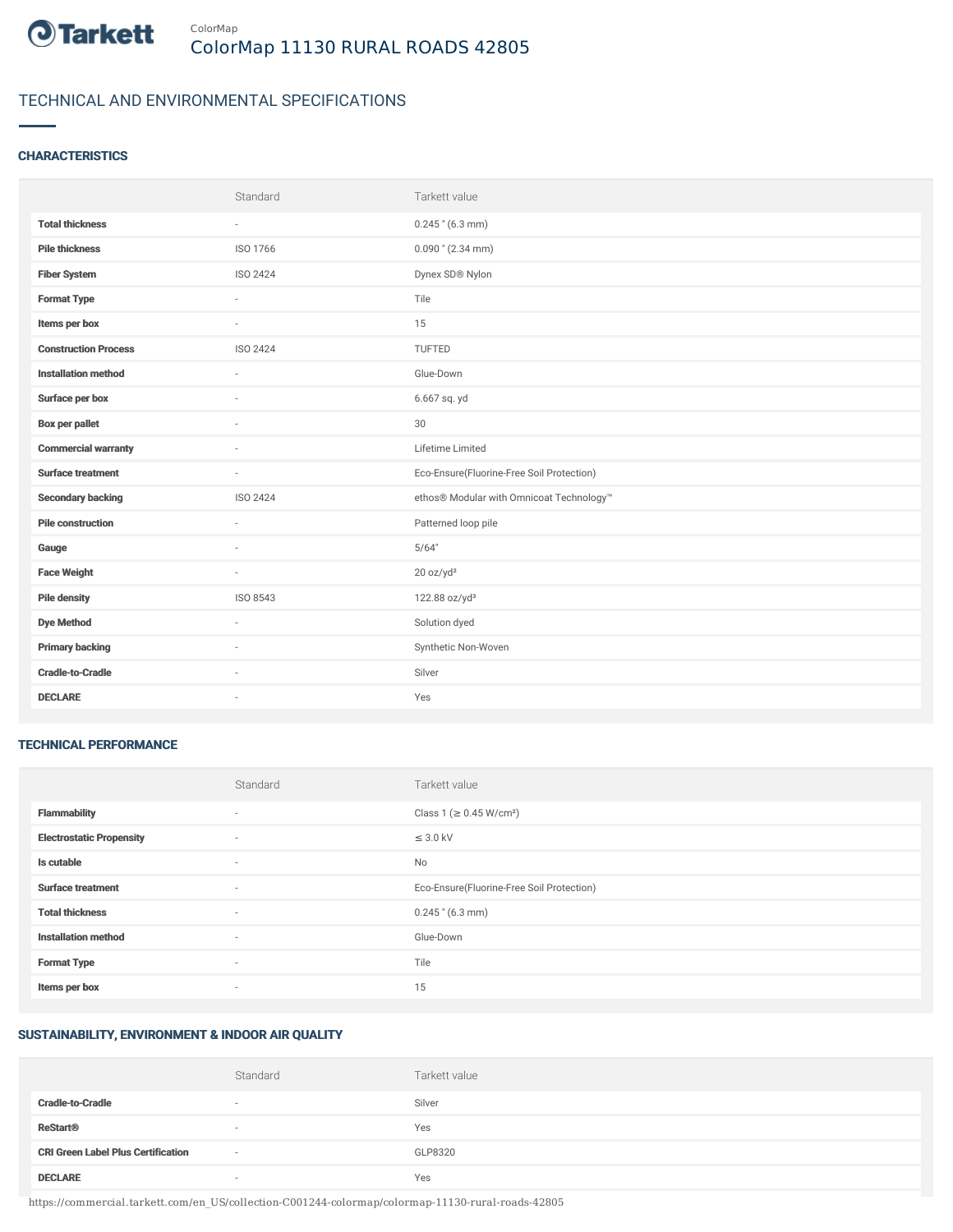

### TECHNICAL AND ENVIRONMENTAL SPECIFICATIONS

#### **CHARACTERISTICS**

|                             | Standard | Tarkett value                             |
|-----------------------------|----------|-------------------------------------------|
| <b>Total thickness</b>      | $\sim$   | $0.245$ " (6.3 mm)                        |
| <b>Pile thickness</b>       | ISO 1766 | $0.090$ " (2.34 mm)                       |
| <b>Fiber System</b>         | ISO 2424 | Dynex SD® Nylon                           |
| <b>Format Type</b>          | ÷.       | Tile                                      |
| Items per box               | $\sim$   | 15                                        |
| <b>Construction Process</b> | ISO 2424 | TUFTED                                    |
| <b>Installation method</b>  | ×.       | Glue-Down                                 |
| Surface per box             | ٠        | 6.667 sq. yd                              |
| <b>Box per pallet</b>       | $\sim$   | 30                                        |
| <b>Commercial warranty</b>  |          | Lifetime Limited                          |
| <b>Surface treatment</b>    | $\sim$   | Eco-Ensure(Fluorine-Free Soil Protection) |
| <b>Secondary backing</b>    | ISO 2424 | ethos® Modular with Omnicoat Technology™  |
| <b>Pile construction</b>    | $\sim$   | Patterned loop pile                       |
| Gauge                       |          | 5/64"                                     |
| <b>Face Weight</b>          | $\sim$   | 20 oz/yd <sup>2</sup>                     |
| <b>Pile density</b>         | ISO 8543 | 122.88 oz/yd <sup>3</sup>                 |
| <b>Dye Method</b>           | $\sim$   | Solution dyed                             |
| <b>Primary backing</b>      |          | Synthetic Non-Woven                       |
| <b>Cradle-to-Cradle</b>     | $\sim$   | Silver                                    |
| <b>DECLARE</b>              | ٠        | Yes                                       |

#### TECHNICAL PERFORMANCE

|                                 | Standard                 | Tarkett value                             |
|---------------------------------|--------------------------|-------------------------------------------|
| <b>Flammability</b>             | $\overline{\phantom{a}}$ | Class 1 (≥ 0.45 W/cm <sup>2</sup> )       |
| <b>Electrostatic Propensity</b> | ٠                        | $\leq$ 3.0 kV                             |
| Is cutable                      | ٠                        | No                                        |
| <b>Surface treatment</b>        | $\sim$                   | Eco-Ensure(Fluorine-Free Soil Protection) |
| <b>Total thickness</b>          | ٠                        | $0.245$ " (6.3 mm)                        |
| <b>Installation method</b>      | $\sim$                   | Glue-Down                                 |
| <b>Format Type</b>              | $\sim$                   | Tile                                      |
| Items per box                   | ٠                        | 15                                        |

#### SUSTAINABILITY, ENVIRONMENT & INDOOR AIR QUALITY

|                                           | Standard                 | Tarkett value |
|-------------------------------------------|--------------------------|---------------|
| <b>Cradle-to-Cradle</b>                   | $\sim$                   | Silver        |
| <b>ReStart<sup>®</sup></b>                | $\sim$                   | Yes           |
| <b>CRI Green Label Plus Certification</b> | $\overline{\phantom{a}}$ | GLP8320       |
| <b>DECLARE</b>                            | $\overline{\phantom{a}}$ | Yes           |

https://commercial.tarkett.com/en\_US/collection-C001244-colormap/colormap-11130-rural-roads-42805